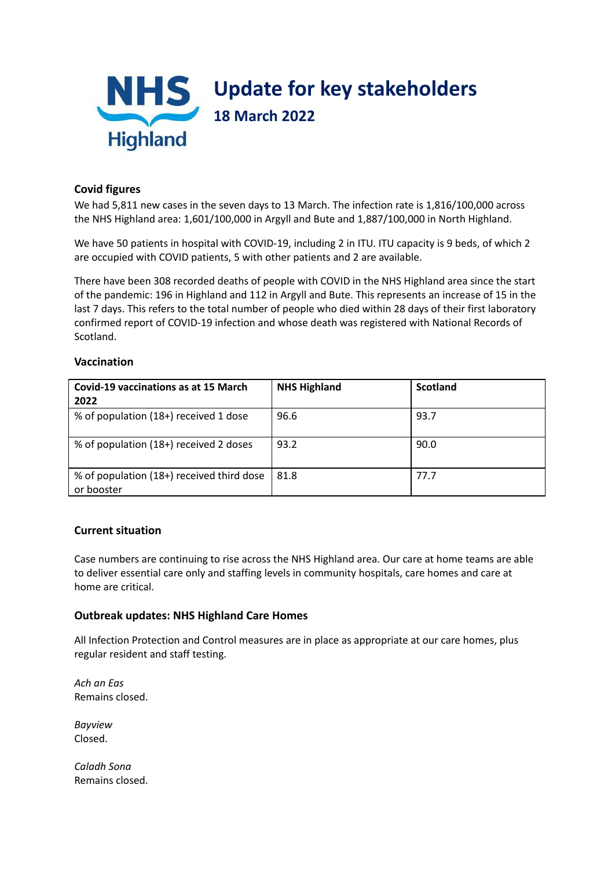

## **Covid figures**

We had 5,811 new cases in the seven days to 13 March. The infection rate is 1,816/100,000 across the NHS Highland area: 1,601/100,000 in Argyll and Bute and 1,887/100,000 in North Highland.

We have 50 patients in hospital with COVID-19, including 2 in ITU. ITU capacity is 9 beds, of which 2 are occupied with COVID patients, 5 with other patients and 2 are available.

There have been 308 recorded deaths of people with COVID in the NHS Highland area since the start of the pandemic: 196 in Highland and 112 in Argyll and Bute. This represents an increase of 15 in the last 7 days. This refers to the total number of people who died within 28 days of their first laboratory confirmed report of COVID-19 infection and whose death was registered with National Records of Scotland.

#### **Vaccination**

| Covid-19 vaccinations as at 15 March<br>2022            | <b>NHS Highland</b> | <b>Scotland</b> |
|---------------------------------------------------------|---------------------|-----------------|
| % of population (18+) received 1 dose                   | 96.6                | 93.7            |
| % of population (18+) received 2 doses                  | 93.2                | 90.0            |
| % of population (18+) received third dose<br>or booster | 81.8                | 77.7            |

### **Current situation**

Case numbers are continuing to rise across the NHS Highland area. Our care at home teams are able to deliver essential care only and staffing levels in community hospitals, care homes and care at home are critical.

### **Outbreak updates: NHS Highland Care Homes**

All Infection Protection and Control measures are in place as appropriate at our care homes, plus regular resident and staff testing.

*Ach an Eas* Remains closed.

*Bayview* Closed.

*Caladh Sona* Remains closed.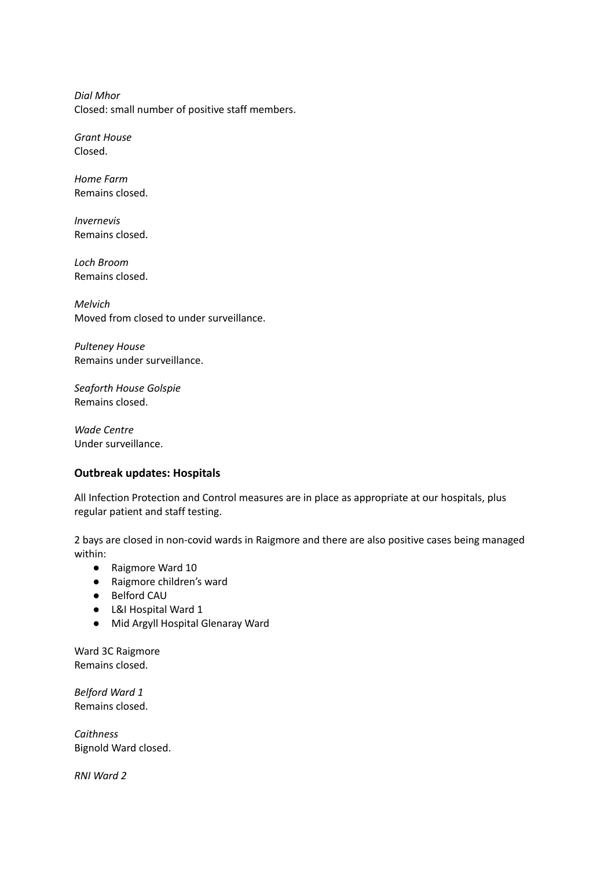*Dial Mhor* Closed: small number of positive staff members.

*Grant House* Closed.

*Home Farm* Remains closed.

*Invernevis* Remains closed.

*Loch Broom* Remains closed.

*Melvich* Moved from closed to under surveillance.

*Pulteney House* Remains under surveillance.

*Seaforth House Golspie* Remains closed.

*Wade Centre* Under surveillance.

### **Outbreak updates: Hospitals**

All Infection Protection and Control measures are in place as appropriate at our hospitals, plus regular patient and staff testing.

2 bays are closed in non-covid wards in Raigmore and there are also positive cases being managed within:

- Raigmore Ward 10
- Raigmore children's ward
- Belford CAU
- L&I Hospital Ward 1
- Mid Argyll Hospital Glenaray Ward

Ward 3C Raigmore Remains closed.

*Belford Ward 1* Remains closed.

*Caithness* Bignold Ward closed.

*RNI Ward 2*